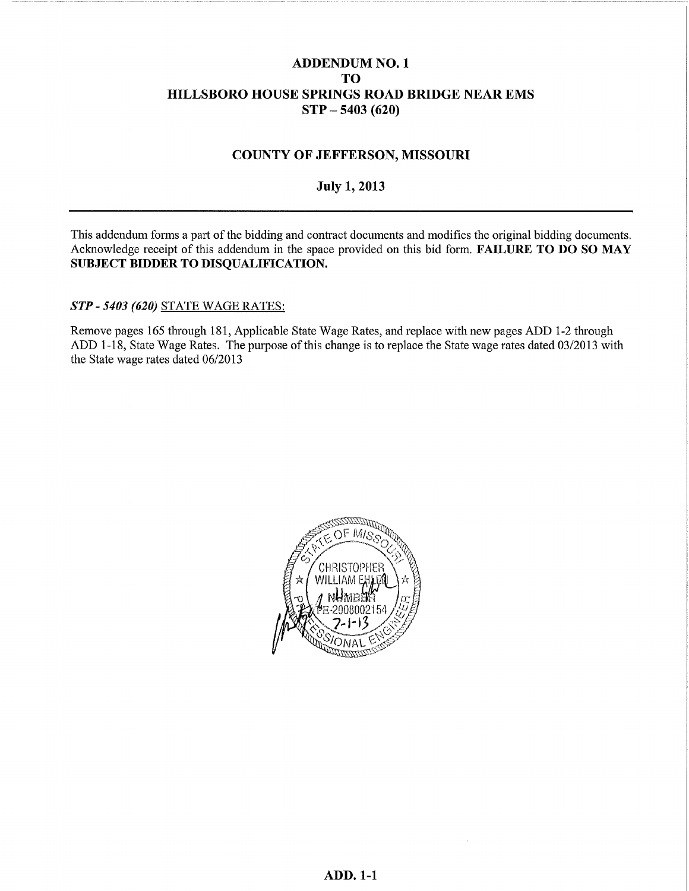#### **ADDENDUM NO. 1 TO** HILLSBORO HOUSE SPRINGS ROAD BRIDGE NEAR EMS  $STP - 5403(620)$

#### **COUNTY OF JEFFERSON, MISSOURI**

#### **July 1, 2013**

This addendum forms a part of the bidding and contract documents and modifies the original bidding documents. Acknowledge receipt of this addendum in the space provided on this bid form. FAILURE TO DO SO MAY SUBJECT BIDDER TO DISQUALIFICATION.

STP - 5403 (620) STATE WAGE RATES:

Remove pages 165 through 181, Applicable State Wage Rates, and replace with new pages ADD 1-2 through ADD 1-18, State Wage Rates. The purpose of this change is to replace the State wage rates dated 03/2013 with the State wage rates dated 06/2013

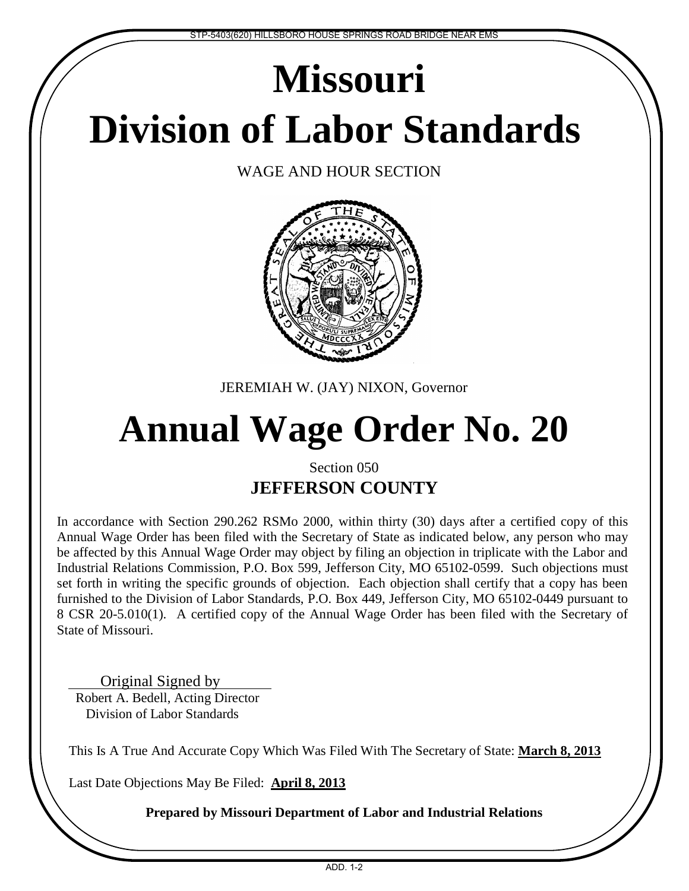# **Division of Labor Standards Missouri**

WAGE AND HOUR SECTION



JEREMIAH W. (JAY) NIXON, Governor

## **Annual Wage Order No. 20**

### Section 050 **JEFFERSON COUNTY**

In accordance with Section 290.262 RSMo 2000, within thirty (30) days after a certified copy of this Annual Wage Order has been filed with the Secretary of State as indicated below, any person who may be affected by this Annual Wage Order may object by filing an objection in triplicate with the Labor and Industrial Relations Commission, P.O. Box 599, Jefferson City, MO 65102-0599. Such objections must set forth in writing the specific grounds of objection. Each objection shall certify that a copy has been furnished to the Division of Labor Standards, P.O. Box 449, Jefferson City, MO 65102-0449 pursuant to 8 CSR 20-5.010(1). A certified copy of the Annual Wage Order has been filed with the Secretary of State of Missouri.

Original Signed by Robert A. Bedell, Acting Director Division of Labor Standards

This Is A True And Accurate Copy Which Was Filed With The Secretary of State: **March 8, 2013**

Last Date Objections May Be Filed: **April 8, 2013**

**Prepared by Missouri Department of Labor and Industrial Relations**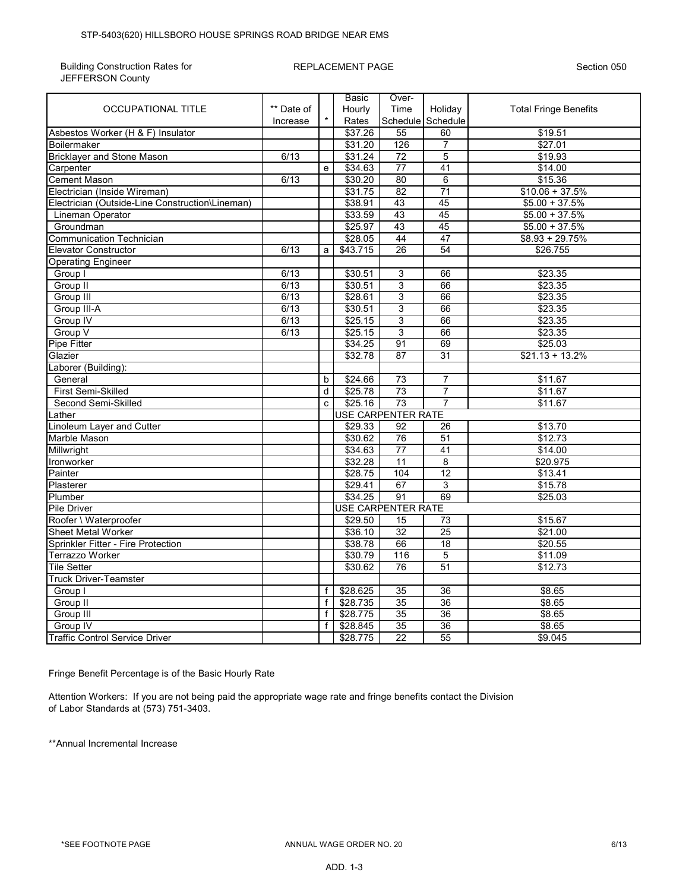Building Construction Rates for JEFFERSON County

#### REPLACEMENT PAGE Section 050

|                                                 |            |   | Basic    | Over-                     |                   |                              |  |  |  |  |
|-------------------------------------------------|------------|---|----------|---------------------------|-------------------|------------------------------|--|--|--|--|
| OCCUPATIONAL TITLE                              | ** Date of |   | Hourly   | Time                      | Holiday           | <b>Total Fringe Benefits</b> |  |  |  |  |
|                                                 | Increase   |   | Rates    |                           | Schedule Schedule |                              |  |  |  |  |
| Asbestos Worker (H & F) Insulator               |            |   | \$37.26  | 55                        | 60                | \$19.51                      |  |  |  |  |
| <b>Boilermaker</b>                              |            |   | \$31.20  | 126                       | $\overline{7}$    | \$27.01                      |  |  |  |  |
| <b>Bricklayer and Stone Mason</b>               | 6/13       |   | \$31.24  | $\overline{72}$           | 5                 | \$19.93                      |  |  |  |  |
| Carpenter                                       |            | e | \$34.63  | 77                        | 41                | \$14.00                      |  |  |  |  |
| <b>Cement Mason</b>                             | 6/13       |   | \$30.20  | 80                        | $\overline{6}$    | \$15.36                      |  |  |  |  |
| Electrician (Inside Wireman)                    |            |   | \$31.75  | $\overline{82}$           | $\overline{71}$   | $$10.06 + 37.5\%$            |  |  |  |  |
| Electrician (Outside-Line Construction\Lineman) |            |   | \$38.91  | 43                        | 45                | $$5.00 + 37.5\%$             |  |  |  |  |
| Lineman Operator                                |            |   | \$33.59  | 43                        | 45                | $$5.00 + 37.5\%$             |  |  |  |  |
| Groundman                                       |            |   | \$25.97  | 43                        | 45                | $$5.00 + 37.5\%$             |  |  |  |  |
| <b>Communication Technician</b>                 |            |   | \$28.05  | 44                        | 47                | $$8.93 + 29.75\%$            |  |  |  |  |
| <b>Elevator Constructor</b>                     | 6/13       | a | \$43.715 | 26                        | 54                | \$26.755                     |  |  |  |  |
| <b>Operating Engineer</b>                       |            |   |          |                           |                   |                              |  |  |  |  |
| Group I                                         | 6/13       |   | \$30.51  | $\ensuremath{\mathsf{3}}$ | 66                | \$23.35                      |  |  |  |  |
| Group II                                        | 6/13       |   | \$30.51  | 3                         | 66                | \$23.35                      |  |  |  |  |
| Group III                                       | 6/13       |   | \$28.61  | 3                         | 66                | \$23.35                      |  |  |  |  |
| Group III-A                                     | 6/13       |   | \$30.51  | 3                         | 66                | \$23.35                      |  |  |  |  |
| Group IV                                        | 6/13       |   | \$25.15  | $\overline{3}$            | 66                | \$23.35                      |  |  |  |  |
| Group V                                         | 6/13       |   | \$25.15  | $\overline{3}$            | 66                | \$23.35                      |  |  |  |  |
| <b>Pipe Fitter</b>                              |            |   | \$34.25  | 91                        | 69                | \$25.03                      |  |  |  |  |
| Glazier                                         |            |   | \$32.78  | 87                        | 31                | $$21.13 + 13.2\%$            |  |  |  |  |
| Laborer (Building):                             |            |   |          |                           |                   |                              |  |  |  |  |
| General                                         |            | b | \$24.66  | 73                        | $\overline{7}$    | \$11.67                      |  |  |  |  |
| First Semi-Skilled                              |            | d | \$25.78  | 73                        | $\overline{7}$    | \$11.67                      |  |  |  |  |
| Second Semi-Skilled                             |            | C | \$25.16  | 73                        | $\overline{7}$    | \$11.67                      |  |  |  |  |
| Lather                                          |            |   |          | <b>USE CARPENTER RATE</b> |                   |                              |  |  |  |  |
| Linoleum Layer and Cutter                       |            |   | \$29.33  | 92                        | 26                | \$13.70                      |  |  |  |  |
| Marble Mason                                    |            |   | \$30.62  | $\overline{76}$           | 51                | \$12.73                      |  |  |  |  |
| Millwright                                      |            |   | \$34.63  | 77                        | 41                | \$14.00                      |  |  |  |  |
| Ironworker                                      |            |   | \$32.28  | 11                        | 8                 | \$20.975                     |  |  |  |  |
| Painter                                         |            |   | \$28.75  | 104                       | $\overline{12}$   | \$13.41                      |  |  |  |  |
| Plasterer                                       |            |   | \$29.41  | 67                        | 3                 | \$15.78                      |  |  |  |  |
| Plumber                                         |            |   | \$34.25  | 91                        | 69                | \$25.03                      |  |  |  |  |
| <b>Pile Driver</b>                              |            |   |          | <b>USE CARPENTER RATE</b> |                   |                              |  |  |  |  |
| Roofer \ Waterproofer                           |            |   | \$29.50  | $\overline{15}$           | $\overline{73}$   | \$15.67                      |  |  |  |  |
| <b>Sheet Metal Worker</b>                       |            |   | \$36.10  | $\overline{32}$           | $\overline{25}$   | \$21.00                      |  |  |  |  |
| Sprinkler Fitter - Fire Protection              |            |   | \$38.78  | 66                        | 18                | \$20.55                      |  |  |  |  |
| Terrazzo Worker                                 |            |   | \$30.79  | 116                       | $\overline{5}$    | \$11.09                      |  |  |  |  |
| <b>Tile Setter</b>                              |            |   | \$30.62  | 76                        | 51                | \$12.73                      |  |  |  |  |
| <b>Truck Driver-Teamster</b>                    |            |   |          |                           |                   |                              |  |  |  |  |
| Group I                                         |            | f | \$28.625 | 35                        | $\overline{36}$   | \$8.65                       |  |  |  |  |
| Group II                                        |            | f | \$28.735 | $\overline{35}$           | 36                | \$8.65                       |  |  |  |  |
| Group III                                       |            | f | \$28.775 | 35                        | 36                | \$8.65                       |  |  |  |  |
| Group IV                                        |            | f | \$28.845 | 35                        | 36                | \$8.65                       |  |  |  |  |
| <b>Traffic Control Service Driver</b>           |            |   | \$28.775 | $\overline{22}$           | 55                | \$9.045                      |  |  |  |  |

Fringe Benefit Percentage is of the Basic Hourly Rate

Attention Workers: If you are not being paid the appropriate wage rate and fringe benefits contact the Division of Labor Standards at (573) 751-3403.

\*\*Annual Incremental Increase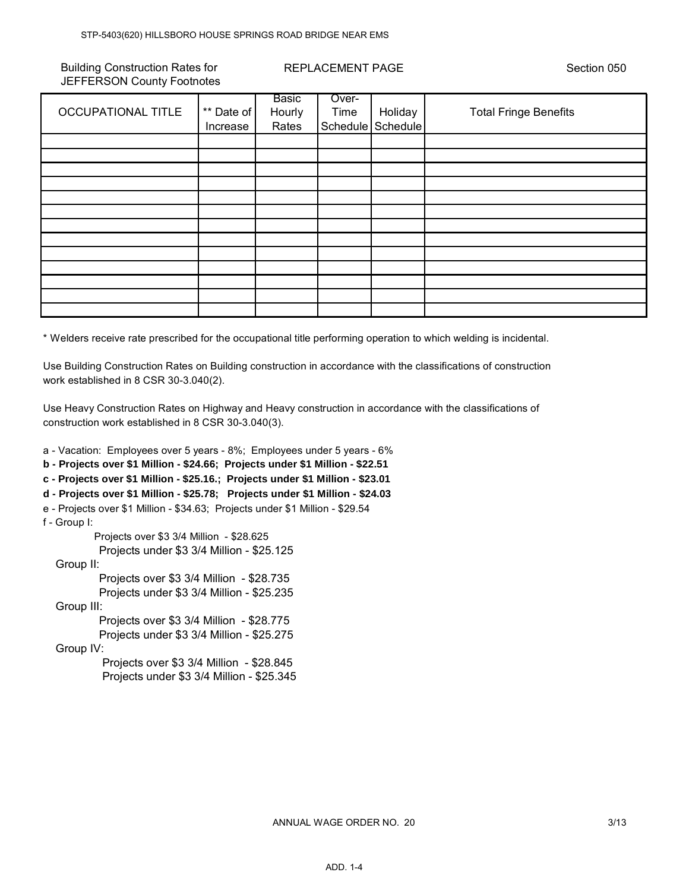Building Construction Rates for JEFFERSON County Footnotes REPLACEMENT PAGE Section 050

|                           |            | Basic  | Over- |                   |                              |
|---------------------------|------------|--------|-------|-------------------|------------------------------|
| <b>OCCUPATIONAL TITLE</b> | ** Date of | Hourly | Time  | Holiday           | <b>Total Fringe Benefits</b> |
|                           | Increase   | Rates  |       | Schedule Schedule |                              |
|                           |            |        |       |                   |                              |
|                           |            |        |       |                   |                              |
|                           |            |        |       |                   |                              |
|                           |            |        |       |                   |                              |
|                           |            |        |       |                   |                              |
|                           |            |        |       |                   |                              |
|                           |            |        |       |                   |                              |
|                           |            |        |       |                   |                              |
|                           |            |        |       |                   |                              |
|                           |            |        |       |                   |                              |
|                           |            |        |       |                   |                              |
|                           |            |        |       |                   |                              |
|                           |            |        |       |                   |                              |

\* Welders receive rate prescribed for the occupational title performing operation to which welding is incidental.

Use Building Construction Rates on Building construction in accordance with the classifications of construction work established in 8 CSR 30-3.040(2).

Use Heavy Construction Rates on Highway and Heavy construction in accordance with the classifications of construction work established in 8 CSR 30-3.040(3).

a - Vacation: Employees over 5 years - 8%; Employees under 5 years - 6% **b - Projects over \$1 Million - \$24.66; Projects under \$1 Million - \$22.51 c - Projects over \$1 Million - \$25.16.; Projects under \$1 Million - \$23.01 d - Projects over \$1 Million - \$25.78; Projects under \$1 Million - \$24.03** e - Projects over \$1 Million - \$34.63; Projects under \$1 Million - \$29.54 f - Group I: Projects over \$3 3/4 Million - \$28.625 Projects under \$3 3/4 Million - \$25.125 Group II: Projects over \$3 3/4 Million - \$28.735 Projects under \$3 3/4 Million - \$25.235 Group III: Projects over \$3 3/4 Million - \$28.775 Projects under \$3 3/4 Million - \$25.275 Group IV: Projects over \$3 3/4 Million - \$28.845 Projects under \$3 3/4 Million - \$25.345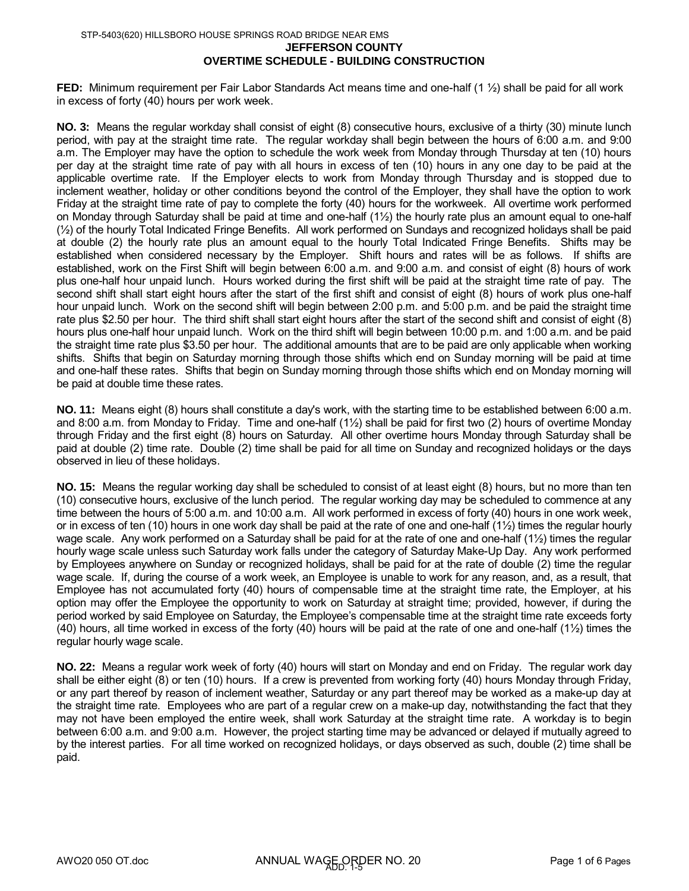#### **JEFFERSON COUNTY**

#### **OVERTIME SCHEDULE - BUILDING CONSTRUCTION**

**FED:** Minimum requirement per Fair Labor Standards Act means time and one-half (1 ½) shall be paid for all work in excess of forty (40) hours per work week.

**NO. 3:** Means the regular workday shall consist of eight (8) consecutive hours, exclusive of a thirty (30) minute lunch period, with pay at the straight time rate. The regular workday shall begin between the hours of 6:00 a.m. and 9:00 a.m. The Employer may have the option to schedule the work week from Monday through Thursday at ten (10) hours per day at the straight time rate of pay with all hours in excess of ten (10) hours in any one day to be paid at the applicable overtime rate. If the Employer elects to work from Monday through Thursday and is stopped due to inclement weather, holiday or other conditions beyond the control of the Employer, they shall have the option to work Friday at the straight time rate of pay to complete the forty (40) hours for the workweek. All overtime work performed on Monday through Saturday shall be paid at time and one-half (1½) the hourly rate plus an amount equal to one-half (½) of the hourly Total Indicated Fringe Benefits. All work performed on Sundays and recognized holidays shall be paid at double (2) the hourly rate plus an amount equal to the hourly Total Indicated Fringe Benefits. Shifts may be established when considered necessary by the Employer. Shift hours and rates will be as follows. If shifts are established, work on the First Shift will begin between 6:00 a.m. and 9:00 a.m. and consist of eight (8) hours of work plus one-half hour unpaid lunch. Hours worked during the first shift will be paid at the straight time rate of pay. The second shift shall start eight hours after the start of the first shift and consist of eight (8) hours of work plus one-half hour unpaid lunch. Work on the second shift will begin between 2:00 p.m. and 5:00 p.m. and be paid the straight time rate plus \$2.50 per hour. The third shift shall start eight hours after the start of the second shift and consist of eight (8) hours plus one-half hour unpaid lunch. Work on the third shift will begin between 10:00 p.m. and 1:00 a.m. and be paid the straight time rate plus \$3.50 per hour. The additional amounts that are to be paid are only applicable when working shifts. Shifts that begin on Saturday morning through those shifts which end on Sunday morning will be paid at time and one-half these rates. Shifts that begin on Sunday morning through those shifts which end on Monday morning will be paid at double time these rates.

**NO. 11:** Means eight (8) hours shall constitute a day's work, with the starting time to be established between 6:00 a.m. and 8:00 a.m. from Monday to Friday. Time and one-half (1½) shall be paid for first two (2) hours of overtime Monday through Friday and the first eight (8) hours on Saturday. All other overtime hours Monday through Saturday shall be paid at double (2) time rate. Double (2) time shall be paid for all time on Sunday and recognized holidays or the days observed in lieu of these holidays.

**NO. 15:** Means the regular working day shall be scheduled to consist of at least eight (8) hours, but no more than ten (10) consecutive hours, exclusive of the lunch period. The regular working day may be scheduled to commence at any time between the hours of 5:00 a.m. and 10:00 a.m. All work performed in excess of forty (40) hours in one work week, or in excess of ten (10) hours in one work day shall be paid at the rate of one and one-half  $(1/2)$  times the regular hourly wage scale. Any work performed on a Saturday shall be paid for at the rate of one and one-half (1½) times the regular hourly wage scale unless such Saturday work falls under the category of Saturday Make-Up Day. Any work performed by Employees anywhere on Sunday or recognized holidays, shall be paid for at the rate of double (2) time the regular wage scale. If, during the course of a work week, an Employee is unable to work for any reason, and, as a result, that Employee has not accumulated forty (40) hours of compensable time at the straight time rate, the Employer, at his option may offer the Employee the opportunity to work on Saturday at straight time; provided, however, if during the period worked by said Employee on Saturday, the Employee's compensable time at the straight time rate exceeds forty (40) hours, all time worked in excess of the forty (40) hours will be paid at the rate of one and one-half (1½) times the regular hourly wage scale.

**NO. 22:** Means a regular work week of forty (40) hours will start on Monday and end on Friday. The regular work day shall be either eight (8) or ten (10) hours. If a crew is prevented from working forty (40) hours Monday through Friday, or any part thereof by reason of inclement weather, Saturday or any part thereof may be worked as a make-up day at the straight time rate. Employees who are part of a regular crew on a make-up day, notwithstanding the fact that they may not have been employed the entire week, shall work Saturday at the straight time rate. A workday is to begin between 6:00 a.m. and 9:00 a.m. However, the project starting time may be advanced or delayed if mutually agreed to by the interest parties. For all time worked on recognized holidays, or days observed as such, double (2) time shall be paid.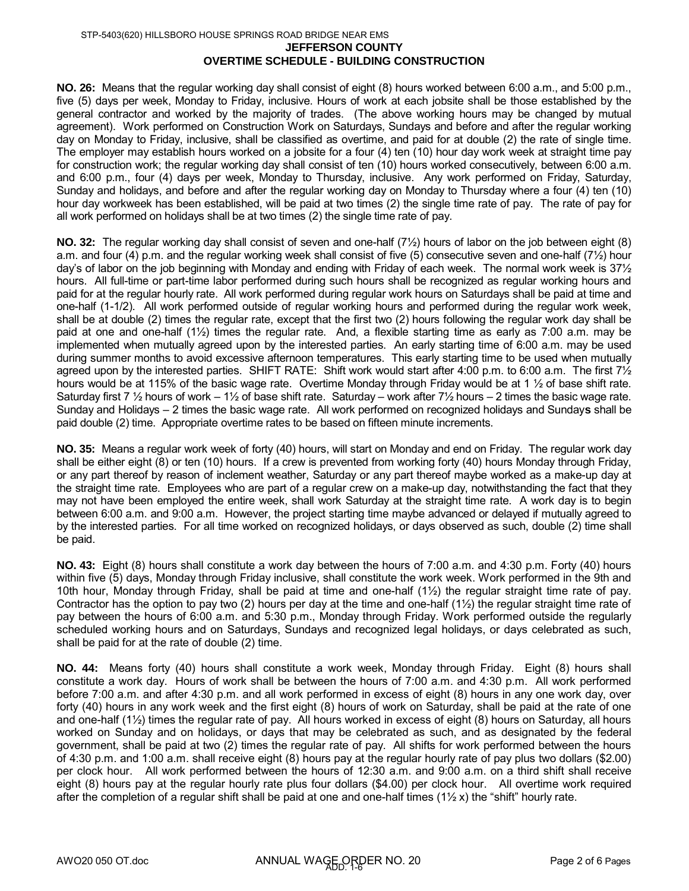**NO. 26:** Means that the regular working day shall consist of eight (8) hours worked between 6:00 a.m., and 5:00 p.m., five (5) days per week, Monday to Friday, inclusive. Hours of work at each jobsite shall be those established by the general contractor and worked by the majority of trades. (The above working hours may be changed by mutual agreement). Work performed on Construction Work on Saturdays, Sundays and before and after the regular working day on Monday to Friday, inclusive, shall be classified as overtime, and paid for at double (2) the rate of single time. The employer may establish hours worked on a jobsite for a four (4) ten (10) hour day work week at straight time pay for construction work; the regular working day shall consist of ten (10) hours worked consecutively, between 6:00 a.m. and 6:00 p.m., four (4) days per week, Monday to Thursday, inclusive. Any work performed on Friday, Saturday, Sunday and holidays, and before and after the regular working day on Monday to Thursday where a four (4) ten (10) hour day workweek has been established, will be paid at two times (2) the single time rate of pay. The rate of pay for all work performed on holidays shall be at two times (2) the single time rate of pay.

**NO. 32:** The regular working day shall consist of seven and one-half (7½) hours of labor on the job between eight (8) a.m. and four (4) p.m. and the regular working week shall consist of five (5) consecutive seven and one-half (7½) hour day's of labor on the job beginning with Monday and ending with Friday of each week. The normal work week is 37½ hours. All full-time or part-time labor performed during such hours shall be recognized as regular working hours and paid for at the regular hourly rate. All work performed during regular work hours on Saturdays shall be paid at time and one-half (1-1/2). All work performed outside of regular working hours and performed during the regular work week, shall be at double (2) times the regular rate, except that the first two (2) hours following the regular work day shall be paid at one and one-half (1½) times the regular rate. And, a flexible starting time as early as 7:00 a.m. may be implemented when mutually agreed upon by the interested parties. An early starting time of 6:00 a.m. may be used during summer months to avoid excessive afternoon temperatures. This early starting time to be used when mutually agreed upon by the interested parties. SHIFT RATE: Shift work would start after 4:00 p.m. to 6:00 a.m. The first 7½ hours would be at 115% of the basic wage rate. Overtime Monday through Friday would be at 1 1/2 of base shift rate. Saturday first 7  $\frac{1}{2}$  hours of work – 1 $\frac{1}{2}$  of base shift rate. Saturday – work after 7 $\frac{1}{2}$  hours – 2 times the basic wage rate. Sunday and Holidays – 2 times the basic wage rate. All work performed on recognized holidays and Sunday**s** shall be paid double (2) time. Appropriate overtime rates to be based on fifteen minute increments.

**NO. 35:** Means a regular work week of forty (40) hours, will start on Monday and end on Friday. The regular work day shall be either eight (8) or ten (10) hours. If a crew is prevented from working forty (40) hours Monday through Friday, or any part thereof by reason of inclement weather, Saturday or any part thereof maybe worked as a make-up day at the straight time rate. Employees who are part of a regular crew on a make-up day, notwithstanding the fact that they may not have been employed the entire week, shall work Saturday at the straight time rate. A work day is to begin between 6:00 a.m. and 9:00 a.m. However, the project starting time maybe advanced or delayed if mutually agreed to by the interested parties. For all time worked on recognized holidays, or days observed as such, double (2) time shall be paid.

**NO. 43:** Eight (8) hours shall constitute a work day between the hours of 7:00 a.m. and 4:30 p.m. Forty (40) hours within five (5) days, Monday through Friday inclusive, shall constitute the work week. Work performed in the 9th and 10th hour, Monday through Friday, shall be paid at time and one-half (1½) the regular straight time rate of pay. Contractor has the option to pay two (2) hours per day at the time and one-half  $(1\frac{1}{2})$  the regular straight time rate of pay between the hours of 6:00 a.m. and 5:30 p.m., Monday through Friday. Work performed outside the regularly scheduled working hours and on Saturdays, Sundays and recognized legal holidays, or days celebrated as such, shall be paid for at the rate of double (2) time.

**NO. 44:** Means forty (40) hours shall constitute a work week, Monday through Friday. Eight (8) hours shall constitute a work day. Hours of work shall be between the hours of 7:00 a.m. and 4:30 p.m. All work performed before 7:00 a.m. and after 4:30 p.m. and all work performed in excess of eight (8) hours in any one work day, over forty (40) hours in any work week and the first eight (8) hours of work on Saturday, shall be paid at the rate of one and one-half (1½) times the regular rate of pay. All hours worked in excess of eight (8) hours on Saturday, all hours worked on Sunday and on holidays, or days that may be celebrated as such, and as designated by the federal government, shall be paid at two (2) times the regular rate of pay. All shifts for work performed between the hours of 4:30 p.m. and 1:00 a.m. shall receive eight (8) hours pay at the regular hourly rate of pay plus two dollars (\$2.00) per clock hour. All work performed between the hours of 12:30 a.m. and 9:00 a.m. on a third shift shall receive eight (8) hours pay at the regular hourly rate plus four dollars (\$4.00) per clock hour. All overtime work required after the completion of a regular shift shall be paid at one and one-half times  $(1\frac{1}{2}x)$  the "shift" hourly rate.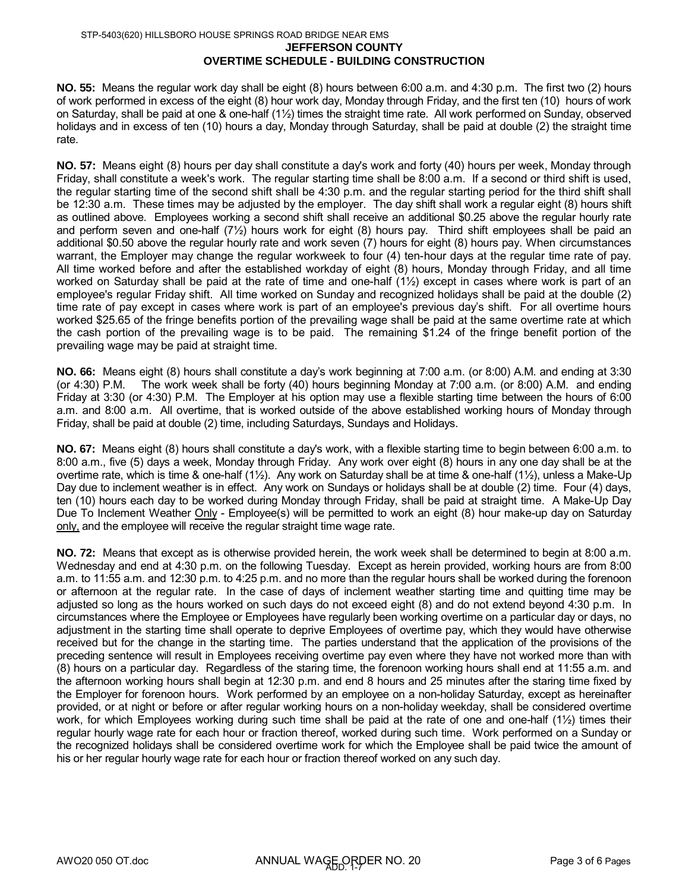#### **JEFFERSON COUNTY OVERTIME SCHEDULE - BUILDING CONSTRUCTION** STP-5403(620) HILLSBORO HOUSE SPRINGS ROAD BRIDGE NEAR EMS

**NO. 55:** Means the regular work day shall be eight (8) hours between 6:00 a.m. and 4:30 p.m. The first two (2) hours of work performed in excess of the eight (8) hour work day, Monday through Friday, and the first ten (10) hours of work on Saturday, shall be paid at one & one-half (1½) times the straight time rate. All work performed on Sunday, observed holidays and in excess of ten (10) hours a day, Monday through Saturday, shall be paid at double (2) the straight time rate.

**NO. 57:** Means eight (8) hours per day shall constitute a day's work and forty (40) hours per week, Monday through Friday, shall constitute a week's work. The regular starting time shall be 8:00 a.m. If a second or third shift is used, the regular starting time of the second shift shall be 4:30 p.m. and the regular starting period for the third shift shall be 12:30 a.m. These times may be adjusted by the employer. The day shift shall work a regular eight (8) hours shift as outlined above. Employees working a second shift shall receive an additional \$0.25 above the regular hourly rate and perform seven and one-half (7½) hours work for eight (8) hours pay. Third shift employees shall be paid an additional \$0.50 above the regular hourly rate and work seven (7) hours for eight (8) hours pay. When circumstances warrant, the Employer may change the regular workweek to four (4) ten-hour days at the regular time rate of pay. All time worked before and after the established workday of eight (8) hours, Monday through Friday, and all time worked on Saturday shall be paid at the rate of time and one-half (1½) except in cases where work is part of an employee's regular Friday shift. All time worked on Sunday and recognized holidays shall be paid at the double (2) time rate of pay except in cases where work is part of an employee's previous day's shift. For all overtime hours worked \$25.65 of the fringe benefits portion of the prevailing wage shall be paid at the same overtime rate at which the cash portion of the prevailing wage is to be paid. The remaining \$1.24 of the fringe benefit portion of the prevailing wage may be paid at straight time.

**NO. 66:** Means eight (8) hours shall constitute a day's work beginning at 7:00 a.m. (or 8:00) A.M. and ending at 3:30 (or 4:30) P.M. The work week shall be forty (40) hours beginning Monday at 7:00 a.m. (or 8:00) A.M. and ending Friday at 3:30 (or 4:30) P.M. The Employer at his option may use a flexible starting time between the hours of 6:00 a.m. and 8:00 a.m. All overtime, that is worked outside of the above established working hours of Monday through Friday, shall be paid at double (2) time, including Saturdays, Sundays and Holidays.

**NO. 67:** Means eight (8) hours shall constitute a day's work, with a flexible starting time to begin between 6:00 a.m. to 8:00 a.m., five (5) days a week, Monday through Friday. Any work over eight (8) hours in any one day shall be at the overtime rate, which is time & one-half (1½). Any work on Saturday shall be at time & one-half (1½), unless a Make-Up Day due to inclement weather is in effect. Any work on Sundays or holidays shall be at double (2) time. Four (4) days, ten (10) hours each day to be worked during Monday through Friday, shall be paid at straight time. A Make-Up Day Due To Inclement Weather Only - Employee(s) will be permitted to work an eight (8) hour make-up day on Saturday only, and the employee will receive the regular straight time wage rate.

**NO. 72:** Means that except as is otherwise provided herein, the work week shall be determined to begin at 8:00 a.m. Wednesday and end at 4:30 p.m. on the following Tuesday. Except as herein provided, working hours are from 8:00 a.m. to 11:55 a.m. and 12:30 p.m. to 4:25 p.m. and no more than the regular hours shall be worked during the forenoon or afternoon at the regular rate. In the case of days of inclement weather starting time and quitting time may be adjusted so long as the hours worked on such days do not exceed eight (8) and do not extend beyond 4:30 p.m. In circumstances where the Employee or Employees have regularly been working overtime on a particular day or days, no adjustment in the starting time shall operate to deprive Employees of overtime pay, which they would have otherwise received but for the change in the starting time. The parties understand that the application of the provisions of the preceding sentence will result in Employees receiving overtime pay even where they have not worked more than with (8) hours on a particular day. Regardless of the staring time, the forenoon working hours shall end at 11:55 a.m. and the afternoon working hours shall begin at 12:30 p.m. and end 8 hours and 25 minutes after the staring time fixed by the Employer for forenoon hours. Work performed by an employee on a non-holiday Saturday, except as hereinafter provided, or at night or before or after regular working hours on a non-holiday weekday, shall be considered overtime work, for which Employees working during such time shall be paid at the rate of one and one-half (1½) times their regular hourly wage rate for each hour or fraction thereof, worked during such time. Work performed on a Sunday or the recognized holidays shall be considered overtime work for which the Employee shall be paid twice the amount of his or her regular hourly wage rate for each hour or fraction thereof worked on any such day.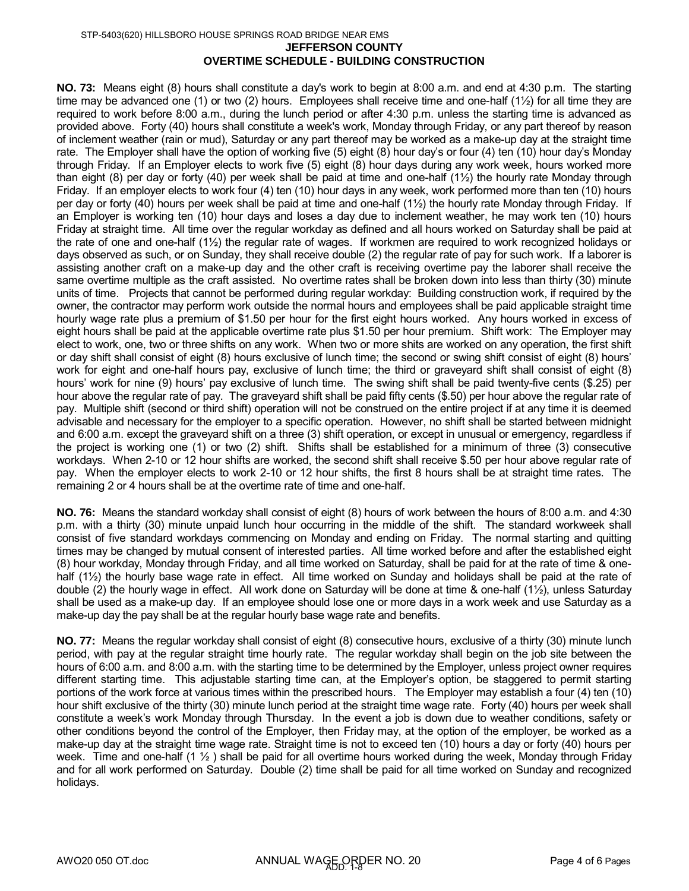#### **JEFFERSON COUNTY OVERTIME SCHEDULE - BUILDING CONSTRUCTION** STP-5403(620) HILLSBORO HOUSE SPRINGS ROAD BRIDGE NEAR EMS

**NO. 73:** Means eight (8) hours shall constitute a day's work to begin at 8:00 a.m. and end at 4:30 p.m. The starting time may be advanced one (1) or two (2) hours. Employees shall receive time and one-half  $(1\frac{1}{2})$  for all time they are required to work before 8:00 a.m., during the lunch period or after 4:30 p.m. unless the starting time is advanced as provided above. Forty (40) hours shall constitute a week's work, Monday through Friday, or any part thereof by reason of inclement weather (rain or mud), Saturday or any part thereof may be worked as a make-up day at the straight time rate. The Employer shall have the option of working five (5) eight (8) hour day's or four (4) ten (10) hour day's Monday through Friday. If an Employer elects to work five (5) eight (8) hour days during any work week, hours worked more than eight (8) per day or forty (40) per week shall be paid at time and one-half (1½) the hourly rate Monday through Friday. If an employer elects to work four (4) ten (10) hour days in any week, work performed more than ten (10) hours per day or forty (40) hours per week shall be paid at time and one-half (1½) the hourly rate Monday through Friday. If an Employer is working ten (10) hour days and loses a day due to inclement weather, he may work ten (10) hours Friday at straight time. All time over the regular workday as defined and all hours worked on Saturday shall be paid at the rate of one and one-half (1½) the regular rate of wages. If workmen are required to work recognized holidays or days observed as such, or on Sunday, they shall receive double (2) the regular rate of pay for such work. If a laborer is assisting another craft on a make-up day and the other craft is receiving overtime pay the laborer shall receive the same overtime multiple as the craft assisted. No overtime rates shall be broken down into less than thirty (30) minute units of time. Projects that cannot be performed during regular workday: Building construction work, if required by the owner, the contractor may perform work outside the normal hours and employees shall be paid applicable straight time hourly wage rate plus a premium of \$1.50 per hour for the first eight hours worked. Any hours worked in excess of eight hours shall be paid at the applicable overtime rate plus \$1.50 per hour premium. Shift work: The Employer may elect to work, one, two or three shifts on any work. When two or more shits are worked on any operation, the first shift or day shift shall consist of eight (8) hours exclusive of lunch time; the second or swing shift consist of eight (8) hours' work for eight and one-half hours pay, exclusive of lunch time; the third or graveyard shift shall consist of eight (8) hours' work for nine (9) hours' pay exclusive of lunch time. The swing shift shall be paid twenty-five cents (\$.25) per hour above the regular rate of pay. The graveyard shift shall be paid fifty cents (\$.50) per hour above the regular rate of pay. Multiple shift (second or third shift) operation will not be construed on the entire project if at any time it is deemed advisable and necessary for the employer to a specific operation. However, no shift shall be started between midnight and 6:00 a.m. except the graveyard shift on a three (3) shift operation, or except in unusual or emergency, regardless if the project is working one (1) or two (2) shift. Shifts shall be established for a minimum of three (3) consecutive workdays. When 2-10 or 12 hour shifts are worked, the second shift shall receive \$.50 per hour above regular rate of pay. When the employer elects to work 2-10 or 12 hour shifts, the first 8 hours shall be at straight time rates. The remaining 2 or 4 hours shall be at the overtime rate of time and one-half.

**NO. 76:** Means the standard workday shall consist of eight (8) hours of work between the hours of 8:00 a.m. and 4:30 p.m. with a thirty (30) minute unpaid lunch hour occurring in the middle of the shift. The standard workweek shall consist of five standard workdays commencing on Monday and ending on Friday. The normal starting and quitting times may be changed by mutual consent of interested parties. All time worked before and after the established eight (8) hour workday, Monday through Friday, and all time worked on Saturday, shall be paid for at the rate of time & onehalf (1<sup>1</sup>/<sub>2</sub>) the hourly base wage rate in effect. All time worked on Sunday and holidays shall be paid at the rate of double (2) the hourly wage in effect. All work done on Saturday will be done at time & one-half (1½), unless Saturday shall be used as a make-up day. If an employee should lose one or more days in a work week and use Saturday as a make-up day the pay shall be at the regular hourly base wage rate and benefits.

**NO. 77:** Means the regular workday shall consist of eight (8) consecutive hours, exclusive of a thirty (30) minute lunch period, with pay at the regular straight time hourly rate. The regular workday shall begin on the job site between the hours of 6:00 a.m. and 8:00 a.m. with the starting time to be determined by the Employer, unless project owner requires different starting time. This adjustable starting time can, at the Employer's option, be staggered to permit starting portions of the work force at various times within the prescribed hours. The Employer may establish a four (4) ten (10) hour shift exclusive of the thirty (30) minute lunch period at the straight time wage rate. Forty (40) hours per week shall constitute a week's work Monday through Thursday. In the event a job is down due to weather conditions, safety or other conditions beyond the control of the Employer, then Friday may, at the option of the employer, be worked as a make-up day at the straight time wage rate. Straight time is not to exceed ten (10) hours a day or forty (40) hours per week. Time and one-half  $(1 \frac{1}{2})$  shall be paid for all overtime hours worked during the week, Monday through Friday and for all work performed on Saturday. Double (2) time shall be paid for all time worked on Sunday and recognized holidays.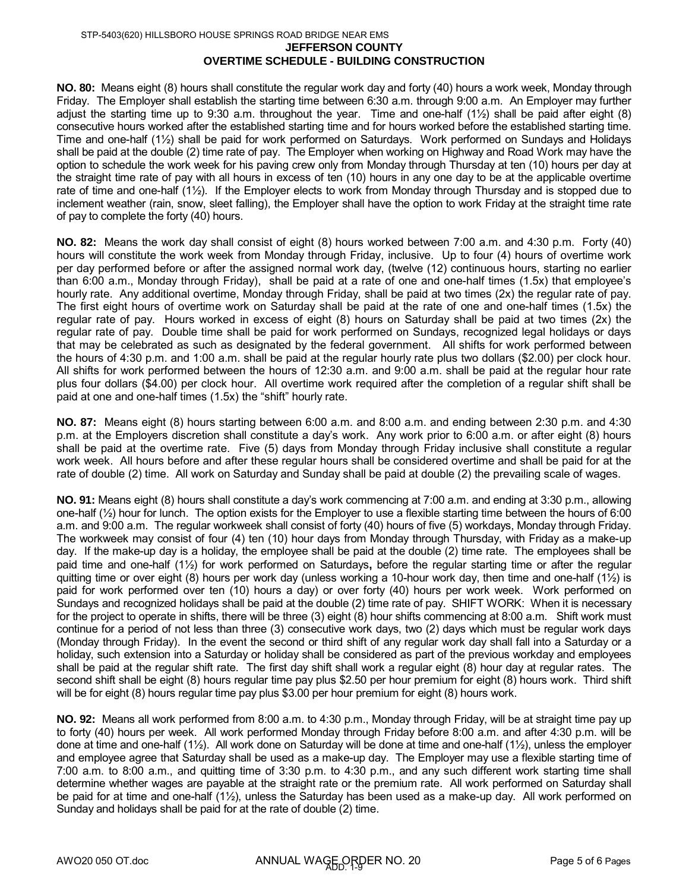**NO. 80:** Means eight (8) hours shall constitute the regular work day and forty (40) hours a work week, Monday through Friday. The Employer shall establish the starting time between 6:30 a.m. through 9:00 a.m. An Employer may further adjust the starting time up to 9:30 a.m. throughout the year. Time and one-half (1½) shall be paid after eight (8) consecutive hours worked after the established starting time and for hours worked before the established starting time. Time and one-half (1½) shall be paid for work performed on Saturdays. Work performed on Sundays and Holidays shall be paid at the double (2) time rate of pay. The Employer when working on Highway and Road Work may have the option to schedule the work week for his paving crew only from Monday through Thursday at ten (10) hours per day at the straight time rate of pay with all hours in excess of ten (10) hours in any one day to be at the applicable overtime rate of time and one-half (1½). If the Employer elects to work from Monday through Thursday and is stopped due to inclement weather (rain, snow, sleet falling), the Employer shall have the option to work Friday at the straight time rate of pay to complete the forty (40) hours.

**NO. 82:** Means the work day shall consist of eight (8) hours worked between 7:00 a.m. and 4:30 p.m. Forty (40) hours will constitute the work week from Monday through Friday, inclusive. Up to four (4) hours of overtime work per day performed before or after the assigned normal work day, (twelve (12) continuous hours, starting no earlier than 6:00 a.m., Monday through Friday), shall be paid at a rate of one and one-half times (1.5x) that employee's hourly rate. Any additional overtime, Monday through Friday, shall be paid at two times (2x) the regular rate of pay. The first eight hours of overtime work on Saturday shall be paid at the rate of one and one-half times (1.5x) the regular rate of pay. Hours worked in excess of eight (8) hours on Saturday shall be paid at two times (2x) the regular rate of pay. Double time shall be paid for work performed on Sundays, recognized legal holidays or days that may be celebrated as such as designated by the federal government. All shifts for work performed between the hours of 4:30 p.m. and 1:00 a.m. shall be paid at the regular hourly rate plus two dollars (\$2.00) per clock hour. All shifts for work performed between the hours of 12:30 a.m. and 9:00 a.m. shall be paid at the regular hour rate plus four dollars (\$4.00) per clock hour. All overtime work required after the completion of a regular shift shall be paid at one and one-half times (1.5x) the "shift" hourly rate.

**NO. 87:** Means eight (8) hours starting between 6:00 a.m. and 8:00 a.m. and ending between 2:30 p.m. and 4:30 p.m. at the Employers discretion shall constitute a day's work. Any work prior to 6:00 a.m. or after eight (8) hours shall be paid at the overtime rate. Five (5) days from Monday through Friday inclusive shall constitute a regular work week. All hours before and after these regular hours shall be considered overtime and shall be paid for at the rate of double (2) time. All work on Saturday and Sunday shall be paid at double (2) the prevailing scale of wages.

**NO. 91:** Means eight (8) hours shall constitute a day's work commencing at 7:00 a.m. and ending at 3:30 p.m., allowing one-half (½) hour for lunch. The option exists for the Employer to use a flexible starting time between the hours of 6:00 a.m. and 9:00 a.m. The regular workweek shall consist of forty (40) hours of five (5) workdays, Monday through Friday. The workweek may consist of four (4) ten (10) hour days from Monday through Thursday, with Friday as a make-up day. If the make-up day is a holiday, the employee shall be paid at the double (2) time rate. The employees shall be paid time and one-half (1½) for work performed on Saturdays**,** before the regular starting time or after the regular quitting time or over eight (8) hours per work day (unless working a 10-hour work day, then time and one-half (1½) is paid for work performed over ten (10) hours a day) or over forty (40) hours per work week. Work performed on Sundays and recognized holidays shall be paid at the double (2) time rate of pay. SHIFT WORK: When it is necessary for the project to operate in shifts, there will be three (3) eight (8) hour shifts commencing at 8:00 a.m. Shift work must continue for a period of not less than three (3) consecutive work days, two (2) days which must be regular work days (Monday through Friday). In the event the second or third shift of any regular work day shall fall into a Saturday or a holiday, such extension into a Saturday or holiday shall be considered as part of the previous workday and employees shall be paid at the regular shift rate. The first day shift shall work a regular eight (8) hour day at regular rates. The second shift shall be eight (8) hours regular time pay plus \$2.50 per hour premium for eight (8) hours work. Third shift will be for eight (8) hours regular time pay plus \$3.00 per hour premium for eight (8) hours work.

**NO. 92:** Means all work performed from 8:00 a.m. to 4:30 p.m., Monday through Friday, will be at straight time pay up to forty (40) hours per week. All work performed Monday through Friday before 8:00 a.m. and after 4:30 p.m. will be done at time and one-half (1½). All work done on Saturday will be done at time and one-half (1½), unless the employer and employee agree that Saturday shall be used as a make-up day. The Employer may use a flexible starting time of 7:00 a.m. to 8:00 a.m., and quitting time of 3:30 p.m. to 4:30 p.m., and any such different work starting time shall determine whether wages are payable at the straight rate or the premium rate. All work performed on Saturday shall be paid for at time and one-half (1½), unless the Saturday has been used as a make-up day. All work performed on Sunday and holidays shall be paid for at the rate of double (2) time.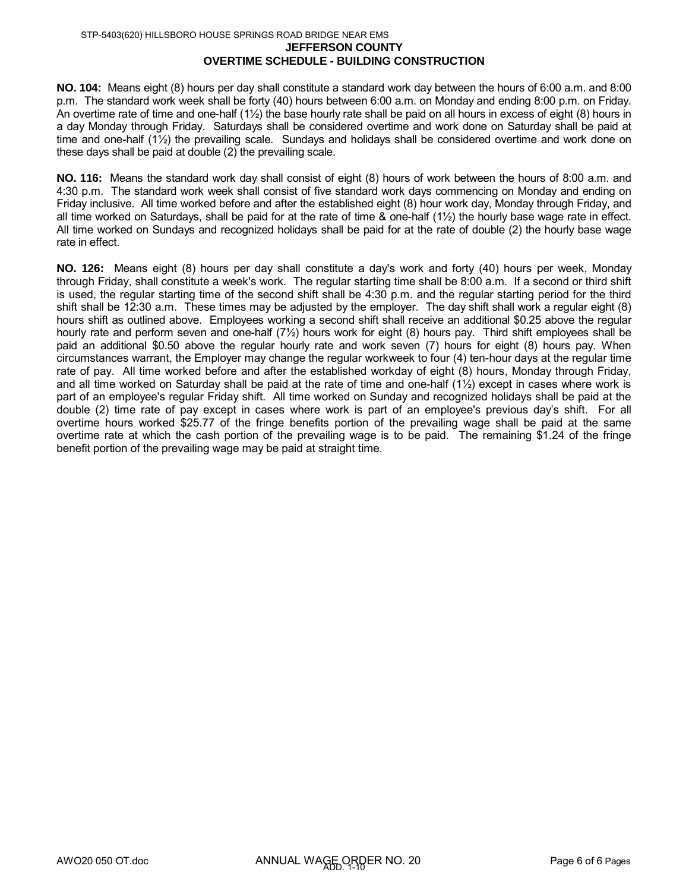#### **OVERTIME SCHEDULE - BUILDING CONSTRUCTION**

**NO. 104:** Means eight (8) hours per day shall constitute a standard work day between the hours of 6:00 a.m. and 8:00 p.m. The standard work week shall be forty (40) hours between 6:00 a.m. on Monday and ending 8:00 p.m. on Friday. An overtime rate of time and one-half (1½) the base hourly rate shall be paid on all hours in excess of eight (8) hours in a day Monday through Friday. Saturdays shall be considered overtime and work done on Saturday shall be paid at time and one-half (1½) the prevailing scale. Sundays and holidays shall be considered overtime and work done on these days shall be paid at double (2) the prevailing scale.

**NO. 116:** Means the standard work day shall consist of eight (8) hours of work between the hours of 8:00 a.m. and 4:30 p.m. The standard work week shall consist of five standard work days commencing on Monday and ending on Friday inclusive. All time worked before and after the established eight (8) hour work day, Monday through Friday, and all time worked on Saturdays, shall be paid for at the rate of time & one-half (1½) the hourly base wage rate in effect. All time worked on Sundays and recognized holidays shall be paid for at the rate of double (2) the hourly base wage rate in effect.

**NO. 126:** Means eight (8) hours per day shall constitute a day's work and forty (40) hours per week, Monday through Friday, shall constitute a week's work. The regular starting time shall be 8:00 a.m. If a second or third shift is used, the regular starting time of the second shift shall be 4:30 p.m. and the regular starting period for the third shift shall be 12:30 a.m. These times may be adjusted by the employer. The day shift shall work a regular eight (8) hours shift as outlined above. Employees working a second shift shall receive an additional \$0.25 above the regular hourly rate and perform seven and one-half (7½) hours work for eight (8) hours pay. Third shift employees shall be paid an additional \$0.50 above the regular hourly rate and work seven (7) hours for eight (8) hours pay. When circumstances warrant, the Employer may change the regular workweek to four (4) ten-hour days at the regular time rate of pay. All time worked before and after the established workday of eight (8) hours, Monday through Friday, and all time worked on Saturday shall be paid at the rate of time and one-half  $(1/2)$  except in cases where work is part of an employee's regular Friday shift. All time worked on Sunday and recognized holidays shall be paid at the double (2) time rate of pay except in cases where work is part of an employee's previous day's shift. For all overtime hours worked \$25.77 of the fringe benefits portion of the prevailing wage shall be paid at the same overtime rate at which the cash portion of the prevailing wage is to be paid. The remaining \$1.24 of the fringe benefit portion of the prevailing wage may be paid at straight time.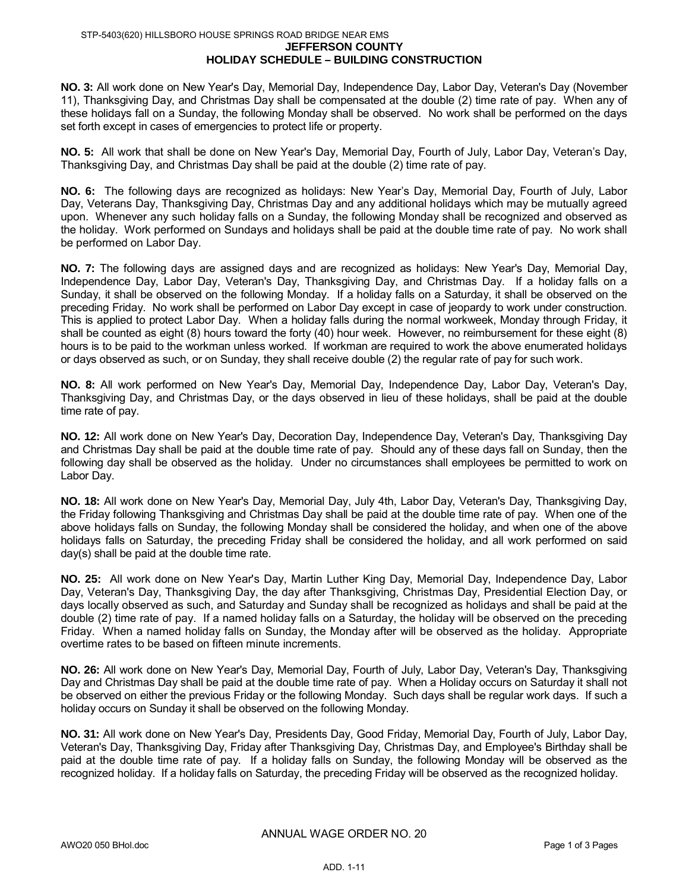#### **JEFFERSON COUNTY HOLIDAY SCHEDULE – BUILDING CONSTRUCTION** STP-5403(620) HILLSBORO HOUSE SPRINGS ROAD BRIDGE NEAR EMS

**NO. 3:** All work done on New Year's Day, Memorial Day, Independence Day, Labor Day, Veteran's Day (November 11), Thanksgiving Day, and Christmas Day shall be compensated at the double (2) time rate of pay. When any of these holidays fall on a Sunday, the following Monday shall be observed. No work shall be performed on the days set forth except in cases of emergencies to protect life or property.

**NO. 5:** All work that shall be done on New Year's Day, Memorial Day, Fourth of July, Labor Day, Veteran's Day, Thanksgiving Day, and Christmas Day shall be paid at the double (2) time rate of pay.

**NO. 6:** The following days are recognized as holidays: New Year's Day, Memorial Day, Fourth of July, Labor Day, Veterans Day, Thanksgiving Day, Christmas Day and any additional holidays which may be mutually agreed upon. Whenever any such holiday falls on a Sunday, the following Monday shall be recognized and observed as the holiday. Work performed on Sundays and holidays shall be paid at the double time rate of pay. No work shall be performed on Labor Day.

**NO. 7:** The following days are assigned days and are recognized as holidays: New Year's Day, Memorial Day, Independence Day, Labor Day, Veteran's Day, Thanksgiving Day, and Christmas Day. If a holiday falls on a Sunday, it shall be observed on the following Monday. If a holiday falls on a Saturday, it shall be observed on the preceding Friday. No work shall be performed on Labor Day except in case of jeopardy to work under construction. This is applied to protect Labor Day. When a holiday falls during the normal workweek, Monday through Friday, it shall be counted as eight (8) hours toward the forty (40) hour week. However, no reimbursement for these eight (8) hours is to be paid to the workman unless worked. If workman are required to work the above enumerated holidays or days observed as such, or on Sunday, they shall receive double (2) the regular rate of pay for such work.

**NO. 8:** All work performed on New Year's Day, Memorial Day, Independence Day, Labor Day, Veteran's Day, Thanksgiving Day, and Christmas Day, or the days observed in lieu of these holidays, shall be paid at the double time rate of pay.

**NO. 12:** All work done on New Year's Day, Decoration Day, Independence Day, Veteran's Day, Thanksgiving Day and Christmas Day shall be paid at the double time rate of pay. Should any of these days fall on Sunday, then the following day shall be observed as the holiday. Under no circumstances shall employees be permitted to work on Labor Day.

**NO. 18:** All work done on New Year's Day, Memorial Day, July 4th, Labor Day, Veteran's Day, Thanksgiving Day, the Friday following Thanksgiving and Christmas Day shall be paid at the double time rate of pay. When one of the above holidays falls on Sunday, the following Monday shall be considered the holiday, and when one of the above holidays falls on Saturday, the preceding Friday shall be considered the holiday, and all work performed on said day(s) shall be paid at the double time rate.

**NO. 25:** All work done on New Year's Day, Martin Luther King Day, Memorial Day, Independence Day, Labor Day, Veteran's Day, Thanksgiving Day, the day after Thanksgiving, Christmas Day, Presidential Election Day, or days locally observed as such, and Saturday and Sunday shall be recognized as holidays and shall be paid at the double (2) time rate of pay. If a named holiday falls on a Saturday, the holiday will be observed on the preceding Friday. When a named holiday falls on Sunday, the Monday after will be observed as the holiday. Appropriate overtime rates to be based on fifteen minute increments.

**NO. 26:** All work done on New Year's Day, Memorial Day, Fourth of July, Labor Day, Veteran's Day, Thanksgiving Day and Christmas Day shall be paid at the double time rate of pay. When a Holiday occurs on Saturday it shall not be observed on either the previous Friday or the following Monday. Such days shall be regular work days. If such a holiday occurs on Sunday it shall be observed on the following Monday.

**NO. 31:** All work done on New Year's Day, Presidents Day, Good Friday, Memorial Day, Fourth of July, Labor Day, Veteran's Day, Thanksgiving Day, Friday after Thanksgiving Day, Christmas Day, and Employee's Birthday shall be paid at the double time rate of pay. If a holiday falls on Sunday, the following Monday will be observed as the recognized holiday. If a holiday falls on Saturday, the preceding Friday will be observed as the recognized holiday.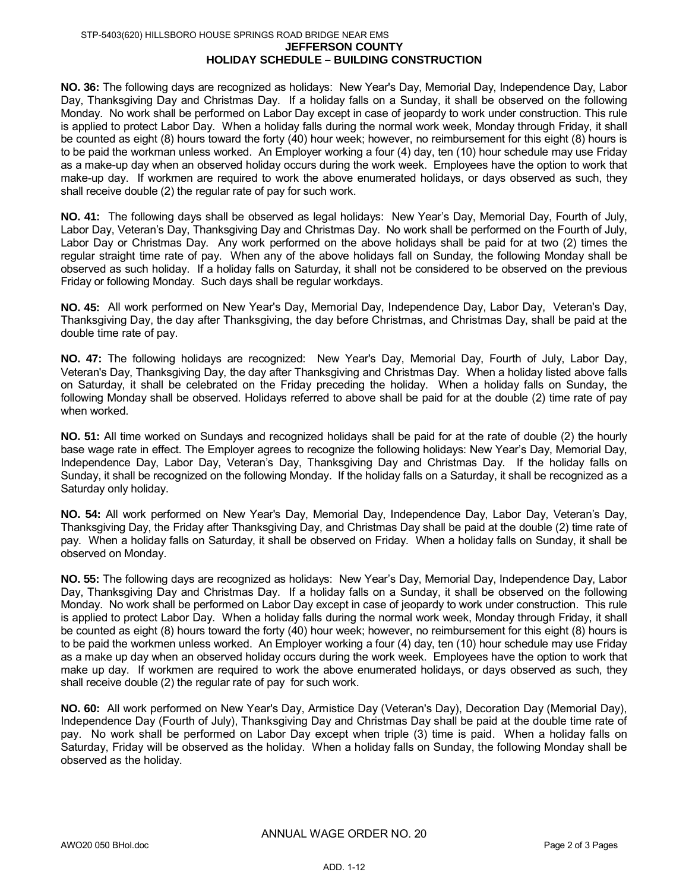#### **JEFFERSON COUNTY HOLIDAY SCHEDULE – BUILDING CONSTRUCTION** STP-5403(620) HILLSBORO HOUSE SPRINGS ROAD BRIDGE NEAR EMS

**NO. 36:** The following days are recognized as holidays: New Year's Day, Memorial Day, Independence Day, Labor Day, Thanksgiving Day and Christmas Day. If a holiday falls on a Sunday, it shall be observed on the following Monday. No work shall be performed on Labor Day except in case of jeopardy to work under construction. This rule is applied to protect Labor Day. When a holiday falls during the normal work week, Monday through Friday, it shall be counted as eight (8) hours toward the forty (40) hour week; however, no reimbursement for this eight (8) hours is to be paid the workman unless worked. An Employer working a four (4) day, ten (10) hour schedule may use Friday as a make-up day when an observed holiday occurs during the work week. Employees have the option to work that make-up day. If workmen are required to work the above enumerated holidays, or days observed as such, they shall receive double (2) the regular rate of pay for such work.

**NO. 41:** The following days shall be observed as legal holidays: New Year's Day, Memorial Day, Fourth of July, Labor Day, Veteran's Day, Thanksgiving Day and Christmas Day. No work shall be performed on the Fourth of July, Labor Day or Christmas Day. Any work performed on the above holidays shall be paid for at two (2) times the regular straight time rate of pay. When any of the above holidays fall on Sunday, the following Monday shall be observed as such holiday. If a holiday falls on Saturday, it shall not be considered to be observed on the previous Friday or following Monday. Such days shall be regular workdays.

**NO. 45:** All work performed on New Year's Day, Memorial Day, Independence Day, Labor Day, Veteran's Day, Thanksgiving Day, the day after Thanksgiving, the day before Christmas, and Christmas Day, shall be paid at the double time rate of pay.

**NO. 47:** The following holidays are recognized: New Year's Day, Memorial Day, Fourth of July, Labor Day, Veteran's Day, Thanksgiving Day, the day after Thanksgiving and Christmas Day. When a holiday listed above falls on Saturday, it shall be celebrated on the Friday preceding the holiday. When a holiday falls on Sunday, the following Monday shall be observed. Holidays referred to above shall be paid for at the double (2) time rate of pay when worked.

**NO. 51:** All time worked on Sundays and recognized holidays shall be paid for at the rate of double (2) the hourly base wage rate in effect. The Employer agrees to recognize the following holidays: New Year's Day, Memorial Day, Independence Day, Labor Day, Veteran's Day, Thanksgiving Day and Christmas Day. If the holiday falls on Sunday, it shall be recognized on the following Monday. If the holiday falls on a Saturday, it shall be recognized as a Saturday only holiday.

**NO. 54:** All work performed on New Year's Day, Memorial Day, Independence Day, Labor Day, Veteran's Day, Thanksgiving Day, the Friday after Thanksgiving Day, and Christmas Day shall be paid at the double (2) time rate of pay. When a holiday falls on Saturday, it shall be observed on Friday. When a holiday falls on Sunday, it shall be observed on Monday.

**NO. 55:** The following days are recognized as holidays: New Year's Day, Memorial Day, Independence Day, Labor Day, Thanksgiving Day and Christmas Day. If a holiday falls on a Sunday, it shall be observed on the following Monday. No work shall be performed on Labor Day except in case of jeopardy to work under construction. This rule is applied to protect Labor Day. When a holiday falls during the normal work week, Monday through Friday, it shall be counted as eight (8) hours toward the forty (40) hour week; however, no reimbursement for this eight (8) hours is to be paid the workmen unless worked. An Employer working a four (4) day, ten (10) hour schedule may use Friday as a make up day when an observed holiday occurs during the work week. Employees have the option to work that make up day. If workmen are required to work the above enumerated holidays, or days observed as such, they shall receive double (2) the regular rate of pay for such work.

**NO. 60:** All work performed on New Year's Day, Armistice Day (Veteran's Day), Decoration Day (Memorial Day), Independence Day (Fourth of July), Thanksgiving Day and Christmas Day shall be paid at the double time rate of pay. No work shall be performed on Labor Day except when triple (3) time is paid. When a holiday falls on Saturday, Friday will be observed as the holiday. When a holiday falls on Sunday, the following Monday shall be observed as the holiday.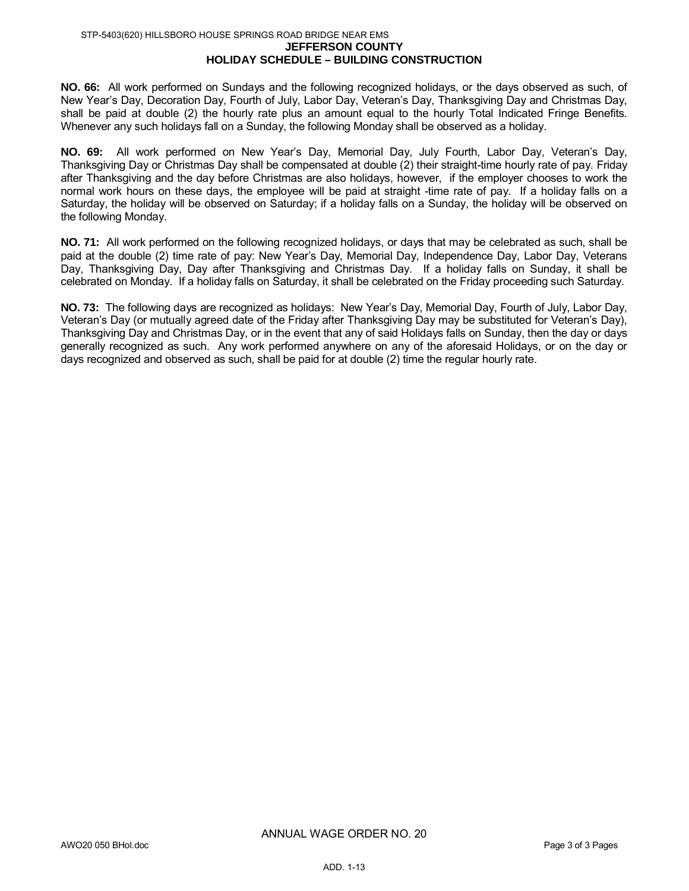#### **JEFFERSON COUNTY HOLIDAY SCHEDULE – BUILDING CONSTRUCTION** STP-5403(620) HILLSBORO HOUSE SPRINGS ROAD BRIDGE NEAR EMS

**NO. 66:** All work performed on Sundays and the following recognized holidays, or the days observed as such, of New Year's Day, Decoration Day, Fourth of July, Labor Day, Veteran's Day, Thanksgiving Day and Christmas Day, shall be paid at double (2) the hourly rate plus an amount equal to the hourly Total Indicated Fringe Benefits. Whenever any such holidays fall on a Sunday, the following Monday shall be observed as a holiday.

**NO. 69:** All work performed on New Year's Day, Memorial Day, July Fourth, Labor Day, Veteran's Day, Thanksgiving Day or Christmas Day shall be compensated at double (2) their straight-time hourly rate of pay. Friday after Thanksgiving and the day before Christmas are also holidays, however, if the employer chooses to work the normal work hours on these days, the employee will be paid at straight -time rate of pay. If a holiday falls on a Saturday, the holiday will be observed on Saturday; if a holiday falls on a Sunday, the holiday will be observed on the following Monday.

**NO. 71:** All work performed on the following recognized holidays, or days that may be celebrated as such, shall be paid at the double (2) time rate of pay: New Year's Day, Memorial Day, Independence Day, Labor Day, Veterans Day, Thanksgiving Day, Day after Thanksgiving and Christmas Day. If a holiday falls on Sunday, it shall be celebrated on Monday. If a holiday falls on Saturday, it shall be celebrated on the Friday proceeding such Saturday.

**NO. 73:** The following days are recognized as holidays: New Year's Day, Memorial Day, Fourth of July, Labor Day, Veteran's Day (or mutually agreed date of the Friday after Thanksgiving Day may be substituted for Veteran's Day), Thanksgiving Day and Christmas Day, or in the event that any of said Holidays falls on Sunday, then the day or days generally recognized as such. Any work performed anywhere on any of the aforesaid Holidays, or on the day or days recognized and observed as such, shall be paid for at double (2) time the regular hourly rate.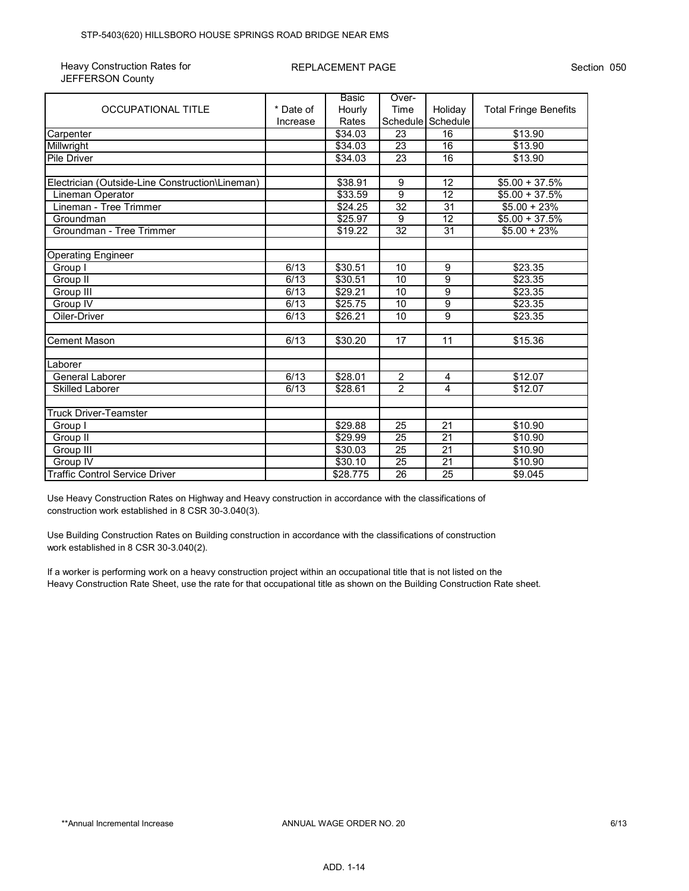| Heavy Construction Rates for |
|------------------------------|
| <b>JEFFERSON County</b>      |

|                                                 |           | Basic           | Over-           |                 |                              |
|-------------------------------------------------|-----------|-----------------|-----------------|-----------------|------------------------------|
| <b>OCCUPATIONAL TITLE</b>                       | * Date of | Hourly          | Time            | Holiday         | <b>Total Fringe Benefits</b> |
|                                                 | Increase  | Rates           | Schedule        | Schedule        |                              |
| Carpenter                                       |           | $\sqrt{$34.03}$ | 23              | 16              | \$13.90                      |
| Millwright                                      |           | \$34.03         | $\overline{23}$ | 16              | \$13.90                      |
| <b>Pile Driver</b>                              |           | \$34.03         | $\overline{23}$ | 16              | \$13.90                      |
|                                                 |           |                 |                 |                 |                              |
| Electrician (Outside-Line Construction\Lineman) |           | \$38.91         | 9               | 12              | $$5.00 + 37.5%$              |
| Lineman Operator                                |           | \$33.59         | $\overline{9}$  | 12              | $$5.00 + 37.5%$              |
| Lineman - Tree Trimmer                          |           | \$24.25         | 32              | 31              | $$5.00 + 23\%$               |
| Groundman                                       |           | \$25.97         | 9               | 12              | $$5.00 + 37.5\%$             |
| Groundman - Tree Trimmer                        |           | \$19.22         | 32              | $\overline{31}$ | $$5.00 + 23\%$               |
|                                                 |           |                 |                 |                 |                              |
| <b>Operating Engineer</b>                       |           |                 |                 |                 |                              |
| Group I                                         | 6/13      | \$30.51         | 10              | 9               | \$23.35                      |
| Group II                                        | 6/13      | \$30.51         | 10              | 9               | \$23.35                      |
| Group III                                       | 6/13      | \$29.21         | 10              | $\overline{9}$  | \$23.35                      |
| Group IV                                        | 6/13      | \$25.75         | 10              | 9               | \$23.35                      |
| Oiler-Driver                                    | 6/13      | \$26.21         | 10              | 9               | \$23.35                      |
|                                                 |           |                 |                 |                 |                              |
| <b>Cement Mason</b>                             | 6/13      | \$30.20         | 17              | 11              | \$15.36                      |
|                                                 |           |                 |                 |                 |                              |
| .aborer                                         |           |                 |                 |                 |                              |
| General Laborer                                 | 6/13      | \$28.01         | $\overline{2}$  | 4               | \$12.07                      |
| <b>Skilled Laborer</b>                          | 6/13      | \$28.61         | $\overline{2}$  | $\overline{4}$  | \$12.07                      |
|                                                 |           |                 |                 |                 |                              |
| <b>Truck Driver-Teamster</b>                    |           |                 |                 |                 |                              |
| Group I                                         |           | \$29.88         | 25              | 21              | \$10.90                      |
| Group II                                        |           | \$29.99         | 25              | 21              | \$10.90                      |
| Group III                                       |           | \$30.03         | $\overline{25}$ | 21              | \$10.90                      |
| Group $\overline{IV}$                           |           | \$30.10         | $\overline{25}$ | $\overline{21}$ | \$10.90                      |
| <b>Traffic Control Service Driver</b>           |           | \$28.775        | 26              | 25              | \$9.045                      |

Use Heavy Construction Rates on Highway and Heavy construction in accordance with the classifications of construction work established in 8 CSR 30-3.040(3).

Use Building Construction Rates on Building construction in accordance with the classifications of construction work established in 8 CSR 30-3.040(2).

If a worker is performing work on a heavy construction project within an occupational title that is not listed on the Heavy Construction Rate Sheet, use the rate for that occupational title as shown on the Building Construction Rate sheet.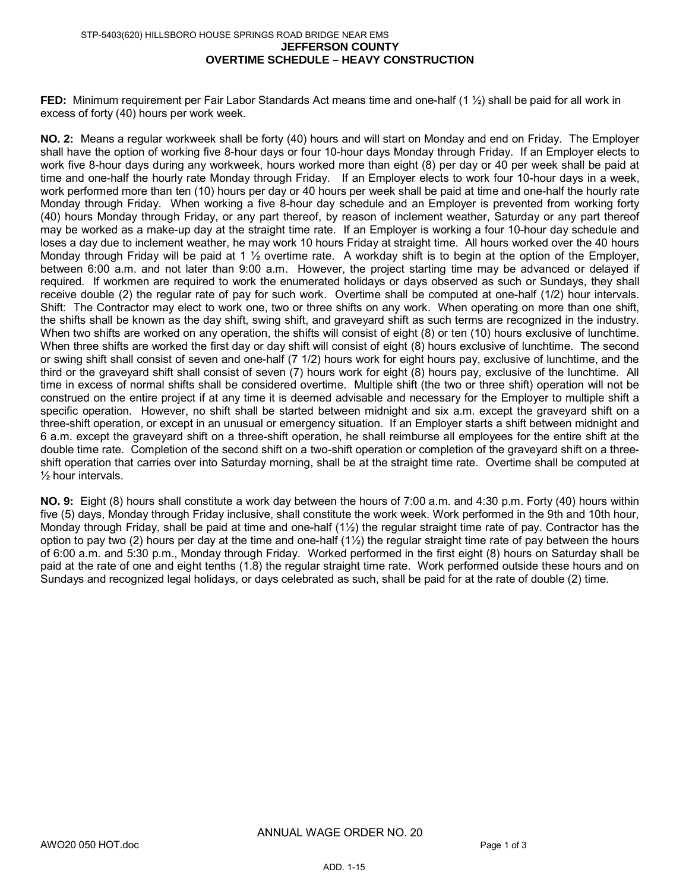#### **JEFFERSON COUNTY OVERTIME SCHEDULE – HEAVY CONSTRUCTION** STP-5403(620) HILLSBORO HOUSE SPRINGS ROAD BRIDGE NEAR EMS

**FED:** Minimum requirement per Fair Labor Standards Act means time and one-half (1 ½) shall be paid for all work in excess of forty (40) hours per work week.

**NO. 2:** Means a regular workweek shall be forty (40) hours and will start on Monday and end on Friday. The Employer shall have the option of working five 8-hour days or four 10-hour days Monday through Friday. If an Employer elects to work five 8-hour days during any workweek, hours worked more than eight (8) per day or 40 per week shall be paid at time and one-half the hourly rate Monday through Friday. If an Employer elects to work four 10-hour days in a week, work performed more than ten (10) hours per day or 40 hours per week shall be paid at time and one-half the hourly rate Monday through Friday. When working a five 8-hour day schedule and an Employer is prevented from working forty (40) hours Monday through Friday, or any part thereof, by reason of inclement weather, Saturday or any part thereof may be worked as a make-up day at the straight time rate. If an Employer is working a four 10-hour day schedule and loses a day due to inclement weather, he may work 10 hours Friday at straight time. All hours worked over the 40 hours Monday through Friday will be paid at 1 ½ overtime rate. A workday shift is to begin at the option of the Employer, between 6:00 a.m. and not later than 9:00 a.m. However, the project starting time may be advanced or delayed if required. If workmen are required to work the enumerated holidays or days observed as such or Sundays, they shall receive double (2) the regular rate of pay for such work. Overtime shall be computed at one-half (1/2) hour intervals. Shift: The Contractor may elect to work one, two or three shifts on any work. When operating on more than one shift, the shifts shall be known as the day shift, swing shift, and graveyard shift as such terms are recognized in the industry. When two shifts are worked on any operation, the shifts will consist of eight (8) or ten (10) hours exclusive of lunchtime. When three shifts are worked the first day or day shift will consist of eight (8) hours exclusive of lunchtime. The second or swing shift shall consist of seven and one-half (7 1/2) hours work for eight hours pay, exclusive of lunchtime, and the third or the graveyard shift shall consist of seven (7) hours work for eight (8) hours pay, exclusive of the lunchtime. All time in excess of normal shifts shall be considered overtime. Multiple shift (the two or three shift) operation will not be construed on the entire project if at any time it is deemed advisable and necessary for the Employer to multiple shift a specific operation. However, no shift shall be started between midnight and six a.m. except the graveyard shift on a three-shift operation, or except in an unusual or emergency situation. If an Employer starts a shift between midnight and 6 a.m. except the graveyard shift on a three-shift operation, he shall reimburse all employees for the entire shift at the double time rate. Completion of the second shift on a two-shift operation or completion of the graveyard shift on a threeshift operation that carries over into Saturday morning, shall be at the straight time rate. Overtime shall be computed at ½ hour intervals.

**NO. 9:** Eight (8) hours shall constitute a work day between the hours of 7:00 a.m. and 4:30 p.m. Forty (40) hours within five (5) days, Monday through Friday inclusive, shall constitute the work week. Work performed in the 9th and 10th hour, Monday through Friday, shall be paid at time and one-half  $(1\frac{1}{2})$  the regular straight time rate of pay. Contractor has the option to pay two (2) hours per day at the time and one-half (1½) the regular straight time rate of pay between the hours of 6:00 a.m. and 5:30 p.m., Monday through Friday. Worked performed in the first eight (8) hours on Saturday shall be paid at the rate of one and eight tenths (1.8) the regular straight time rate. Work performed outside these hours and on Sundays and recognized legal holidays, or days celebrated as such, shall be paid for at the rate of double (2) time.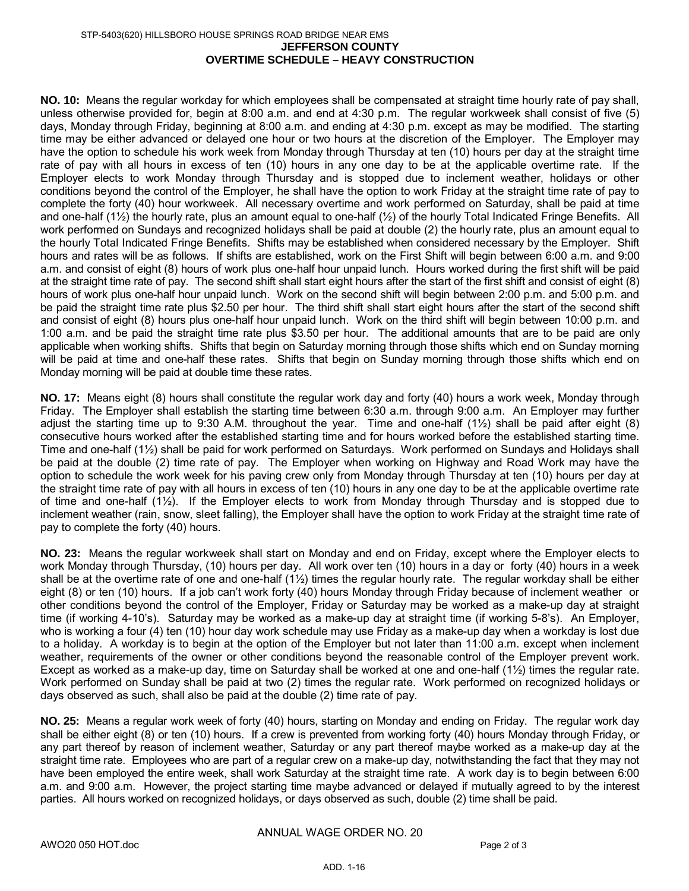#### **JEFFERSON COUNTY OVERTIME SCHEDULE – HEAVY CONSTRUCTION** STP-5403(620) HILLSBORO HOUSE SPRINGS ROAD BRIDGE NEAR EMS

**NO. 10:** Means the regular workday for which employees shall be compensated at straight time hourly rate of pay shall, unless otherwise provided for, begin at 8:00 a.m. and end at 4:30 p.m. The regular workweek shall consist of five (5) days, Monday through Friday, beginning at 8:00 a.m. and ending at 4:30 p.m. except as may be modified. The starting time may be either advanced or delayed one hour or two hours at the discretion of the Employer. The Employer may have the option to schedule his work week from Monday through Thursday at ten (10) hours per day at the straight time rate of pay with all hours in excess of ten (10) hours in any one day to be at the applicable overtime rate. If the Employer elects to work Monday through Thursday and is stopped due to inclement weather, holidays or other conditions beyond the control of the Employer, he shall have the option to work Friday at the straight time rate of pay to complete the forty (40) hour workweek. All necessary overtime and work performed on Saturday, shall be paid at time and one-half  $(1\frac{1}{2})$  the hourly rate, plus an amount equal to one-half  $(1\frac{1}{2})$  of the hourly Total Indicated Fringe Benefits. All work performed on Sundays and recognized holidays shall be paid at double (2) the hourly rate, plus an amount equal to the hourly Total Indicated Fringe Benefits. Shifts may be established when considered necessary by the Employer. Shift hours and rates will be as follows. If shifts are established, work on the First Shift will begin between 6:00 a.m. and 9:00 a.m. and consist of eight (8) hours of work plus one-half hour unpaid lunch. Hours worked during the first shift will be paid at the straight time rate of pay. The second shift shall start eight hours after the start of the first shift and consist of eight (8) hours of work plus one-half hour unpaid lunch. Work on the second shift will begin between 2:00 p.m. and 5:00 p.m. and be paid the straight time rate plus \$2.50 per hour. The third shift shall start eight hours after the start of the second shift and consist of eight (8) hours plus one-half hour unpaid lunch. Work on the third shift will begin between 10:00 p.m. and 1:00 a.m. and be paid the straight time rate plus \$3.50 per hour. The additional amounts that are to be paid are only applicable when working shifts. Shifts that begin on Saturday morning through those shifts which end on Sunday morning will be paid at time and one-half these rates. Shifts that begin on Sunday morning through those shifts which end on Monday morning will be paid at double time these rates.

**NO. 17:** Means eight (8) hours shall constitute the regular work day and forty (40) hours a work week, Monday through Friday. The Employer shall establish the starting time between 6:30 a.m. through 9:00 a.m. An Employer may further adjust the starting time up to 9:30 A.M. throughout the year. Time and one-half (1½) shall be paid after eight (8) consecutive hours worked after the established starting time and for hours worked before the established starting time. Time and one-half (1½) shall be paid for work performed on Saturdays. Work performed on Sundays and Holidays shall be paid at the double (2) time rate of pay. The Employer when working on Highway and Road Work may have the option to schedule the work week for his paving crew only from Monday through Thursday at ten (10) hours per day at the straight time rate of pay with all hours in excess of ten (10) hours in any one day to be at the applicable overtime rate of time and one-half (1½). If the Employer elects to work from Monday through Thursday and is stopped due to inclement weather (rain, snow, sleet falling), the Employer shall have the option to work Friday at the straight time rate of pay to complete the forty (40) hours.

**NO. 23:** Means the regular workweek shall start on Monday and end on Friday, except where the Employer elects to work Monday through Thursday, (10) hours per day. All work over ten (10) hours in a day or forty (40) hours in a week shall be at the overtime rate of one and one-half (1½) times the regular hourly rate. The regular workday shall be either eight (8) or ten (10) hours. If a job can't work forty (40) hours Monday through Friday because of inclement weather or other conditions beyond the control of the Employer, Friday or Saturday may be worked as a make-up day at straight time (if working 4-10's). Saturday may be worked as a make-up day at straight time (if working 5-8's). An Employer, who is working a four (4) ten (10) hour day work schedule may use Friday as a make-up day when a workday is lost due to a holiday. A workday is to begin at the option of the Employer but not later than 11:00 a.m. except when inclement weather, requirements of the owner or other conditions beyond the reasonable control of the Employer prevent work. Except as worked as a make-up day, time on Saturday shall be worked at one and one-half (1½) times the regular rate. Work performed on Sunday shall be paid at two (2) times the regular rate. Work performed on recognized holidays or days observed as such, shall also be paid at the double (2) time rate of pay.

**NO. 25:** Means a regular work week of forty (40) hours, starting on Monday and ending on Friday. The regular work day shall be either eight (8) or ten (10) hours. If a crew is prevented from working forty (40) hours Monday through Friday, or any part thereof by reason of inclement weather, Saturday or any part thereof maybe worked as a make-up day at the straight time rate. Employees who are part of a regular crew on a make-up day, notwithstanding the fact that they may not have been employed the entire week, shall work Saturday at the straight time rate. A work day is to begin between 6:00 a.m. and 9:00 a.m. However, the project starting time maybe advanced or delayed if mutually agreed to by the interest parties. All hours worked on recognized holidays, or days observed as such, double (2) time shall be paid.

ANNUAL WAGE ORDER NO. 20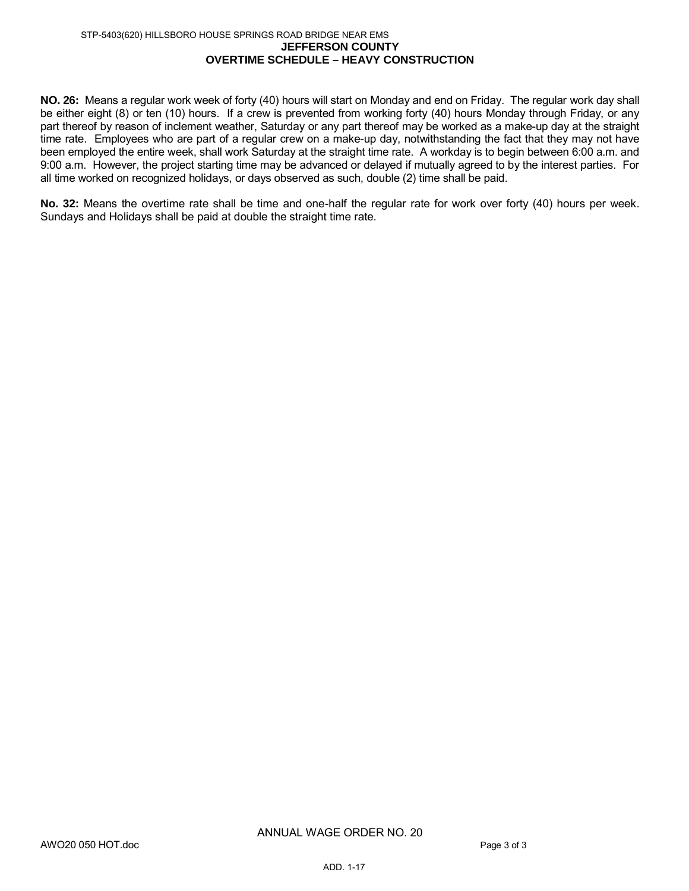#### **JEFFERSON COUNTY OVERTIME SCHEDULE – HEAVY CONSTRUCTION** STP-5403(620) HILLSBORO HOUSE SPRINGS ROAD BRIDGE NEAR EMS

**NO. 26:** Means a regular work week of forty (40) hours will start on Monday and end on Friday. The regular work day shall be either eight (8) or ten (10) hours. If a crew is prevented from working forty (40) hours Monday through Friday, or any part thereof by reason of inclement weather, Saturday or any part thereof may be worked as a make-up day at the straight time rate. Employees who are part of a regular crew on a make-up day, notwithstanding the fact that they may not have been employed the entire week, shall work Saturday at the straight time rate. A workday is to begin between 6:00 a.m. and 9:00 a.m. However, the project starting time may be advanced or delayed if mutually agreed to by the interest parties. For all time worked on recognized holidays, or days observed as such, double (2) time shall be paid.

**No. 32:** Means the overtime rate shall be time and one-half the regular rate for work over forty (40) hours per week. Sundays and Holidays shall be paid at double the straight time rate.